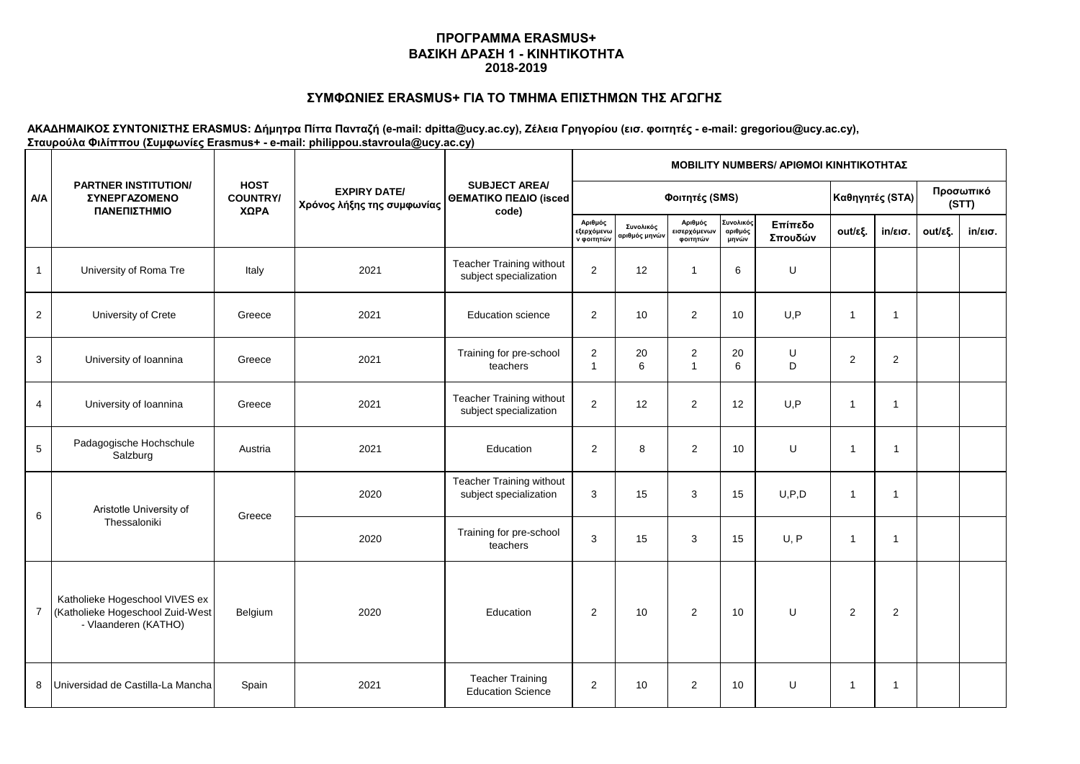# **ΣΥΜΦΩΝΙΕΣ ERASMUS+ ΓΙΑ ΤΟ ΤΜΗΜΑ ΕΠΙΣΤΗΜΩΝ ΤΗΣ ΑΓΩΓΗΣ**

|                | <b>PARTNER INSTITUTION/</b><br><b><i>EYNEPFAZOMENO</i></b><br>ΠΑΝΕΠΙΣΤΗΜΙΟ                 |                                        |                                                   | <b>SUBJECT AREA/</b><br>ΘΕΜΑΤΙΚΟ ΠΕΔΙΟ (isced<br>code)    | <b>MOBILITY NUMBERS/ APIOMOI KINHTIKOTHTAZ</b> |                                          |                                     |                               |                    |                    |                   |         |                   |  |  |  |
|----------------|--------------------------------------------------------------------------------------------|----------------------------------------|---------------------------------------------------|-----------------------------------------------------------|------------------------------------------------|------------------------------------------|-------------------------------------|-------------------------------|--------------------|--------------------|-------------------|---------|-------------------|--|--|--|
| <b>A/A</b>     |                                                                                            | <b>HOST</b><br><b>COUNTRY/</b><br>ΧΩΡΑ | <b>EXPIRY DATE/</b><br>Χρόνος λήξης της συμφωνίας |                                                           |                                                | Φοιτητές (SMS)                           | Καθηγητές (STA)                     |                               |                    | Προσωπικό<br>(STT) |                   |         |                   |  |  |  |
|                |                                                                                            |                                        |                                                   |                                                           | Αριθμός<br>εξερχόμενω<br>ν φοιτητών            | Συνολικός<br>αριθμός μηνώ <mark>ν</mark> | Αριθμός<br>εισερχόμενων<br>φοιτητών | Συνολικός<br>αριθμός<br>μηνών | Επίπεδο<br>Σπουδών | out/εξ.            | $in/\epsilon$ ισ. | out/εξ. | $in/\epsilon$ ισ. |  |  |  |
| $\mathbf{1}$   | University of Roma Tre                                                                     | Italy                                  | 2021                                              | Teacher Training without<br>subject specialization        | 2                                              | 12                                       | $\mathbf{1}$                        | 6                             | $\sf U$            |                    |                   |         |                   |  |  |  |
| $\overline{2}$ | University of Crete                                                                        | Greece                                 | 2021                                              | <b>Education science</b>                                  | $\overline{2}$                                 | 10                                       | $\overline{2}$                      | 10                            | U, P               | $\overline{1}$     | $\overline{1}$    |         |                   |  |  |  |
| 3              | University of Ioannina                                                                     | Greece                                 | 2021                                              | Training for pre-school<br>teachers                       | $\overline{c}$<br>$\mathbf{1}$                 | 20<br>6                                  | $\overline{2}$<br>$\mathbf{1}$      | 20<br>6                       | U<br>D             | $\overline{2}$     | $\overline{c}$    |         |                   |  |  |  |
| 4              | University of Ioannina                                                                     | Greece                                 | 2021                                              | Teacher Training without<br>subject specialization        | $\overline{2}$                                 | 12                                       | 2                                   | 12                            | U, P               | $\overline{1}$     | $\overline{1}$    |         |                   |  |  |  |
| $\sqrt{5}$     | Padagogische Hochschule<br>Salzburg                                                        | Austria                                | 2021                                              | Education                                                 | $\overline{2}$                                 | 8                                        | $\overline{2}$                      | 10                            | U                  | 1                  | 1                 |         |                   |  |  |  |
| 6              | Aristotle University of                                                                    | Greece                                 | 2020                                              | <b>Teacher Training without</b><br>subject specialization | 3                                              | 15                                       | 3                                   | 15                            | U, P, D            | 1                  | -1                |         |                   |  |  |  |
|                | Thessaloniki                                                                               |                                        | 2020                                              | Training for pre-school<br>teachers                       | 3                                              | 15                                       | 3                                   | 15                            | U, P               | 1                  | 1                 |         |                   |  |  |  |
| 7              | Katholieke Hogeschool VIVES ex<br>(Katholieke Hogeschool Zuid-West<br>- Vlaanderen (KATHO) | Belgium                                | 2020                                              | Education                                                 | 2                                              | 10                                       | 2                                   | 10                            | U                  | $\overline{2}$     | 2                 |         |                   |  |  |  |
| 8              | Universidad de Castilla-La Mancha                                                          | Spain                                  | 2021                                              | <b>Teacher Training</b><br><b>Education Science</b>       | $\overline{2}$                                 | 10                                       | 2                                   | 10                            | U                  | -1                 | -1                |         |                   |  |  |  |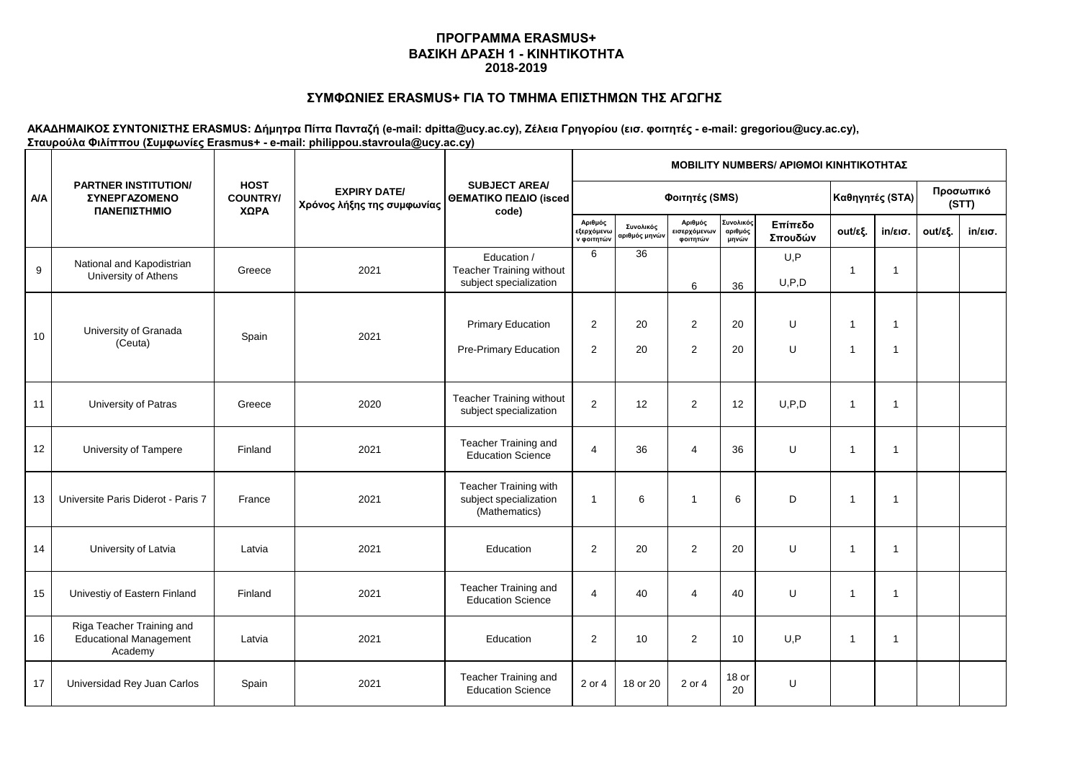# **ΣΥΜΦΩΝΙΕΣ ERASMUS+ ΓΙΑ ΤΟ ΤΜΗΜΑ ΕΠΙΣΤΗΜΩΝ ΤΗΣ ΑΓΩΓΗΣ**

|            | <b>PARTNER INSTITUTION/</b><br><b>ΣΥΝΕΡΓΑΖΟΜΕΝΟ</b><br>ΠΑΝΕΠΙΣΤΗΜΙΟ   |                                        |                                                   | <b>SUBJECT AREA/</b><br>ΘΕΜΑΤΙΚΟ ΠΕΔΙΟ (isced<br>code)            | MOBILITY NUMBERS/ APIOMOI ΚΙΝΗΤΙΚΟΤΗΤΑΣ            |                                          |                                                   |                               |                    |                              |                   |         |                   |  |  |
|------------|-----------------------------------------------------------------------|----------------------------------------|---------------------------------------------------|-------------------------------------------------------------------|----------------------------------------------------|------------------------------------------|---------------------------------------------------|-------------------------------|--------------------|------------------------------|-------------------|---------|-------------------|--|--|
| <b>A/A</b> |                                                                       | <b>HOST</b><br><b>COUNTRY/</b><br>ΧΩΡΑ | <b>EXPIRY DATE/</b><br>Χρόνος λήξης της συμφωνίας |                                                                   |                                                    | Φοιτητές (SMS)                           | Καθηγητές (STA)                                   |                               | Προσωπικό<br>(STT) |                              |                   |         |                   |  |  |
|            |                                                                       |                                        |                                                   |                                                                   | Αριθμός<br>εξερχόμ <mark>εν</mark> ω<br>ν φοιτητών | Συνολικός<br>αριθμός μην <mark>ών</mark> | Αριθμός<br>εισερχόμεν <mark>ων</mark><br>φοιτητών | Συνολικός<br>αριθμός<br>μηνών | Επίπεδο<br>Σπουδών | out/εξ.                      | $in/\epsilon$ ισ. | out/εξ. | $in/\epsilon$ ισ. |  |  |
| 9          | National and Kapodistrian<br>University of Athens                     | Greece                                 | 2021                                              | Education /<br>Teacher Training without<br>subject specialization | 6                                                  | 36                                       | 6                                                 | 36                            | U, P<br>U, P, D    | $\mathbf{1}$                 | $\mathbf 1$       |         |                   |  |  |
| 10         | University of Granada<br>(Ceuta)                                      | Spain                                  | 2021                                              | <b>Primary Education</b><br>Pre-Primary Education                 | 2<br>2                                             | 20<br>20                                 | $\overline{2}$<br>$\overline{2}$                  | 20<br>20                      | U<br>$\cup$        | $\mathbf{1}$<br>$\mathbf{1}$ | 1<br>$\mathbf{1}$ |         |                   |  |  |
| 11         | University of Patras                                                  | Greece                                 | 2020                                              | Teacher Training without<br>subject specialization                | $\overline{2}$                                     | 12                                       | 2                                                 | 12                            | U, P, D            | $\mathbf{1}$                 | $\mathbf 1$       |         |                   |  |  |
| 12         | University of Tampere                                                 | Finland                                | 2021                                              | Teacher Training and<br><b>Education Science</b>                  | $\overline{4}$                                     | 36                                       | $\overline{4}$                                    | 36                            | U                  | $\mathbf{1}$                 | $\mathbf 1$       |         |                   |  |  |
| 13         | Universite Paris Diderot - Paris 7                                    | France                                 | 2021                                              | Teacher Training with<br>subject specialization<br>(Mathematics)  | $\overline{1}$                                     | 6                                        | $\mathbf 1$                                       | 6                             | D                  | $\mathbf{1}$                 | -1                |         |                   |  |  |
| 14         | University of Latvia                                                  | Latvia                                 | 2021                                              | Education                                                         | 2                                                  | 20                                       | $\overline{2}$                                    | 20                            | U                  | $\mathbf{1}$                 | $\overline{1}$    |         |                   |  |  |
| 15         | Univestiy of Eastern Finland                                          | Finland                                | 2021                                              | Teacher Training and<br><b>Education Science</b>                  | $\overline{4}$                                     | 40                                       | $\overline{4}$                                    | 40                            | U                  | $\mathbf{1}$                 | $\overline{1}$    |         |                   |  |  |
| 16         | Riga Teacher Training and<br><b>Educational Management</b><br>Academy | Latvia                                 | 2021                                              | Education                                                         | 2                                                  | 10                                       | 2                                                 | 10                            | U.P                | $\mathbf{1}$                 | $\overline{1}$    |         |                   |  |  |
| 17         | Universidad Rey Juan Carlos                                           | Spain                                  | 2021                                              | Teacher Training and<br><b>Education Science</b>                  | 2 or 4                                             | 18 or 20                                 | 2 or 4                                            | 18 or<br>20                   | U                  |                              |                   |         |                   |  |  |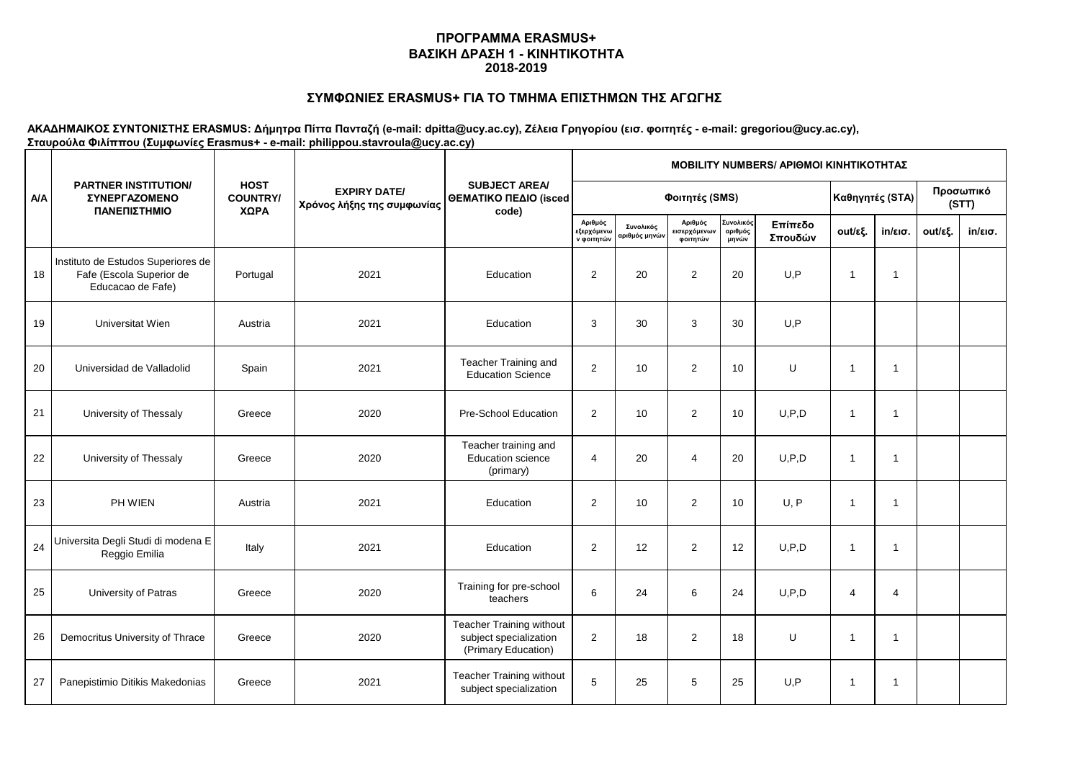# **ΣΥΜΦΩΝΙΕΣ ERASMUS+ ΓΙΑ ΤΟ ΤΜΗΜΑ ΕΠΙΣΤΗΜΩΝ ΤΗΣ ΑΓΩΓΗΣ**

|            | <b>PARTNER INSTITUTION/</b><br><b>ΣΥΝΕΡΓΑΖΟΜΕΝΟ</b><br>ΠΑΝΕΠΙΣΤΗΜΙΟ                 |                                        |                                                   | <b>SUBJECT AREA/</b><br>ΘΕΜΑΤΙΚΟ ΠΕΔΙΟ (isced<br>code)                    | MOBILITY NUMBERS/ APIOMOI ΚΙΝΗΤΙΚΟΤΗΤΑΣ    |                                          |                     |                               |                    |              |                   |         |                    |  |  |
|------------|-------------------------------------------------------------------------------------|----------------------------------------|---------------------------------------------------|---------------------------------------------------------------------------|--------------------------------------------|------------------------------------------|---------------------|-------------------------------|--------------------|--------------|-------------------|---------|--------------------|--|--|
| <b>A/A</b> |                                                                                     | <b>HOST</b><br><b>COUNTRY/</b><br>ΧΩΡΑ | <b>EXPIRY DATE/</b><br>Χρόνος λήξης της συμφωνίας |                                                                           | Φοιτητές (SMS)                             |                                          |                     |                               |                    |              | Καθηγητές (STA)   |         | Προσωπικό<br>(STT) |  |  |
|            |                                                                                     |                                        |                                                   |                                                                           | Αριθμός<br><b>εξερχόμενω</b><br>ν φοιτητών | Συνολικός<br>αριθμός μην <mark>ών</mark> | Αριθμός<br>φοιτητών | Συνολικός<br>αριθμός<br>μηνών | Επίπεδο<br>Σπουδών | out/εξ.      | $in/\epsilon$ ισ. | out/εξ. | $in/\epsilon$ ισ.  |  |  |
| 18         | Instituto de Estudos Superiores de<br>Fafe (Escola Superior de<br>Educacao de Fafe) | Portugal                               | 2021                                              | Education                                                                 | $\mathbf{2}$                               | 20                                       | 2                   | 20                            | U, P               | $\mathbf{1}$ | $\overline{1}$    |         |                    |  |  |
| 19         | Universitat Wien                                                                    | Austria                                | 2021                                              | Education                                                                 | 3                                          | 30                                       | 3                   | 30                            | U, P               |              |                   |         |                    |  |  |
| 20         | Universidad de Valladolid                                                           | Spain                                  | 2021                                              | Teacher Training and<br><b>Education Science</b>                          | 2                                          | 10                                       | 2                   | 10                            | U                  | $\mathbf{1}$ | -1                |         |                    |  |  |
| 21         | University of Thessaly                                                              | Greece                                 | 2020                                              | Pre-School Education                                                      | $\overline{2}$                             | 10                                       | 2                   | 10                            | U, P, D            | $\mathbf{1}$ | -1                |         |                    |  |  |
| 22         | University of Thessaly                                                              | Greece                                 | 2020                                              | Teacher training and<br><b>Education science</b><br>(primary)             | $\overline{4}$                             | 20                                       | $\overline{4}$      | 20                            | U, P, D            | $\mathbf{1}$ | $\overline{1}$    |         |                    |  |  |
| 23         | PH WIEN                                                                             | Austria                                | 2021                                              | Education                                                                 | $\mathbf{2}$                               | 10                                       | 2                   | 10                            | U, P               | $\mathbf{1}$ | $\overline{1}$    |         |                    |  |  |
| 24         | Universita Degli Studi di modena E<br>Reggio Emilia                                 | Italy                                  | 2021                                              | Education                                                                 | 2                                          | 12                                       | 2                   | 12                            | U, P, D            | $\mathbf{1}$ | $\overline{1}$    |         |                    |  |  |
| 25         | University of Patras                                                                | Greece                                 | 2020                                              | Training for pre-school<br>teachers                                       | 6                                          | 24                                       | 6                   | 24                            | U, P, D            | 4            | 4                 |         |                    |  |  |
| 26         | Democritus University of Thrace                                                     | Greece                                 | 2020                                              | Teacher Training without<br>subject specialization<br>(Primary Education) | 2                                          | 18                                       | 2                   | 18                            | U                  | $\mathbf{1}$ | -1                |         |                    |  |  |
| 27         | Panepistimio Ditikis Makedonias                                                     | Greece                                 | 2021                                              | Teacher Training without<br>subject specialization                        | 5                                          | 25                                       | 5                   | 25                            | U, P               | $\mathbf{1}$ | -1                |         |                    |  |  |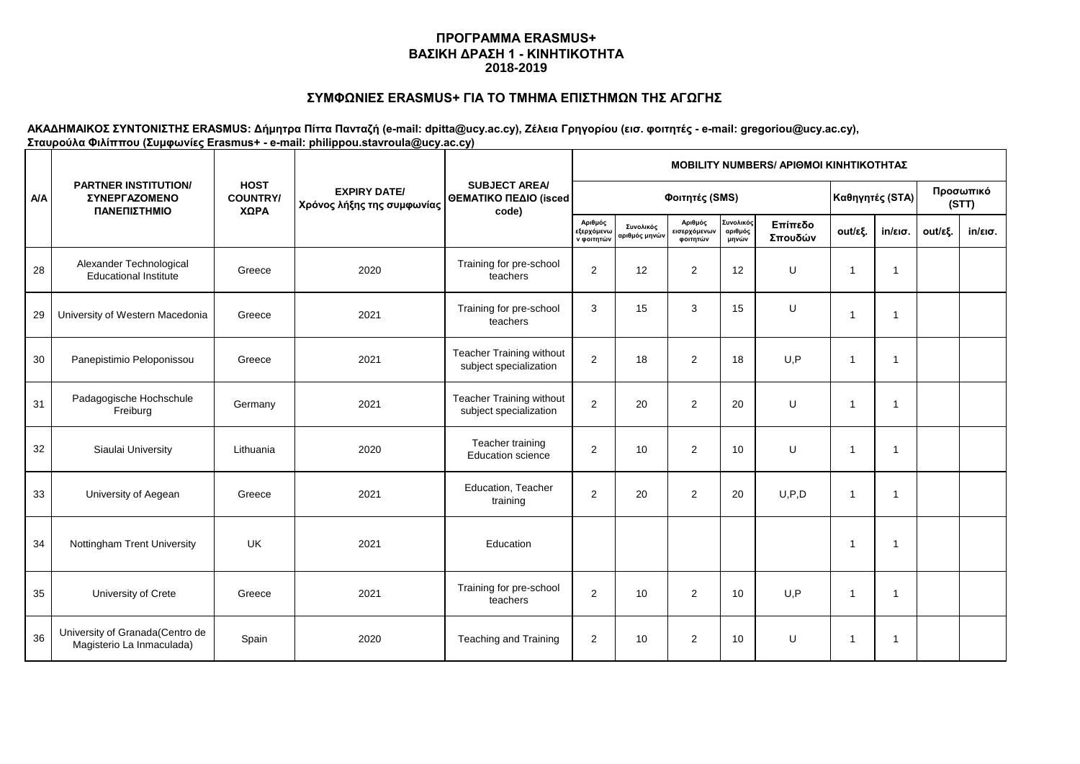# **ΣΥΜΦΩΝΙΕΣ ERASMUS+ ΓΙΑ ΤΟ ΤΜΗΜΑ ΕΠΙΣΤΗΜΩΝ ΤΗΣ ΑΓΩΓΗΣ**

|            | <b>PARTNER INSTITUTION/</b><br>ΣΥΝΕΡΓΑΖΟΜΕΝΟ<br>ΠΑΝΕΠΙΣΤΗΜΙΟ | <b>HOST</b><br><b>COUNTRY/</b><br>ΧΩΡΑ | <b>EXPIRY DATE/</b><br>Χρόνος λήξης της συμφωνίας | <b>SUBJECT AREA/</b><br>ΘΕΜΑΤΙΚΟ ΠΕΔΙΟ (isced<br>code) | <b>MOBILITY NUMBERS/ APIOMOI KINHTIKOTHTAZ</b> |                            |                                          |                               |                    |                |                         |         |                    |  |  |  |
|------------|--------------------------------------------------------------|----------------------------------------|---------------------------------------------------|--------------------------------------------------------|------------------------------------------------|----------------------------|------------------------------------------|-------------------------------|--------------------|----------------|-------------------------|---------|--------------------|--|--|--|
| <b>A/A</b> |                                                              |                                        |                                                   |                                                        | Φοιτητές (SMS)                                 |                            |                                          |                               |                    |                | Καθηγητές (STA)         |         | Προσωπικό<br>(STT) |  |  |  |
|            |                                                              |                                        |                                                   |                                                        | Αριθμός<br>εξερχόμενω<br>ν φοιτητών            | Συνολικός<br>αριθμός μηνών | Αριθμός<br>.<br>εισερχόμενων<br>φοιτητών | Συνολικός<br>αριθμός<br>μηνών | Επίπεδο<br>Σπουδών | out/εξ.        | $in/\epsilon$ ισ.       | out/εξ. | $in/\epsilon$ ισ.  |  |  |  |
| 28         | Alexander Technological<br><b>Educational Institute</b>      | Greece                                 | 2020                                              | Training for pre-school<br>teachers                    | $\overline{2}$                                 | 12                         | 2                                        | 12                            | U                  | 1              | $\overline{1}$          |         |                    |  |  |  |
| 29         | University of Western Macedonia                              | Greece                                 | 2021                                              | Training for pre-school<br>teachers                    | 3                                              | 15                         | 3                                        | 15                            | U                  | 1              | $\overline{1}$          |         |                    |  |  |  |
| 30         | Panepistimio Peloponissou                                    | Greece                                 | 2021                                              | Teacher Training without<br>subject specialization     | $\overline{2}$                                 | 18                         | 2                                        | 18                            | U, P               | 1              | $\overline{1}$          |         |                    |  |  |  |
| 31         | Padagogische Hochschule<br>Freiburg                          | Germany                                | 2021                                              | Teacher Training without<br>subject specialization     | $\overline{2}$                                 | 20                         | 2                                        | 20                            | U                  | $\overline{1}$ | $\overline{\mathbf{1}}$ |         |                    |  |  |  |
| 32         | Siaulai University                                           | Lithuania                              | 2020                                              | Teacher training<br><b>Education science</b>           | $\overline{2}$                                 | 10                         | 2                                        | 10                            | U                  | $\mathbf{1}$   | $\overline{1}$          |         |                    |  |  |  |
| 33         | University of Aegean                                         | Greece                                 | 2021                                              | Education, Teacher<br>training                         | 2                                              | 20                         | 2                                        | 20                            | U, P, D            | 1              | -1                      |         |                    |  |  |  |
| 34         | Nottingham Trent University                                  | <b>UK</b>                              | 2021                                              | Education                                              |                                                |                            |                                          |                               |                    | 1              | -1                      |         |                    |  |  |  |
| 35         | University of Crete                                          | Greece                                 | 2021                                              | Training for pre-school<br>teachers                    | $\mathbf{2}$                                   | 10                         | 2                                        | 10                            | U, P               | 1              | -1                      |         |                    |  |  |  |
| 36         | University of Granada(Centro de<br>Magisterio La Inmaculada) | Spain                                  | 2020                                              | <b>Teaching and Training</b>                           | $\overline{2}$                                 | 10                         | 2                                        | 10                            | U                  | 1              | -1                      |         |                    |  |  |  |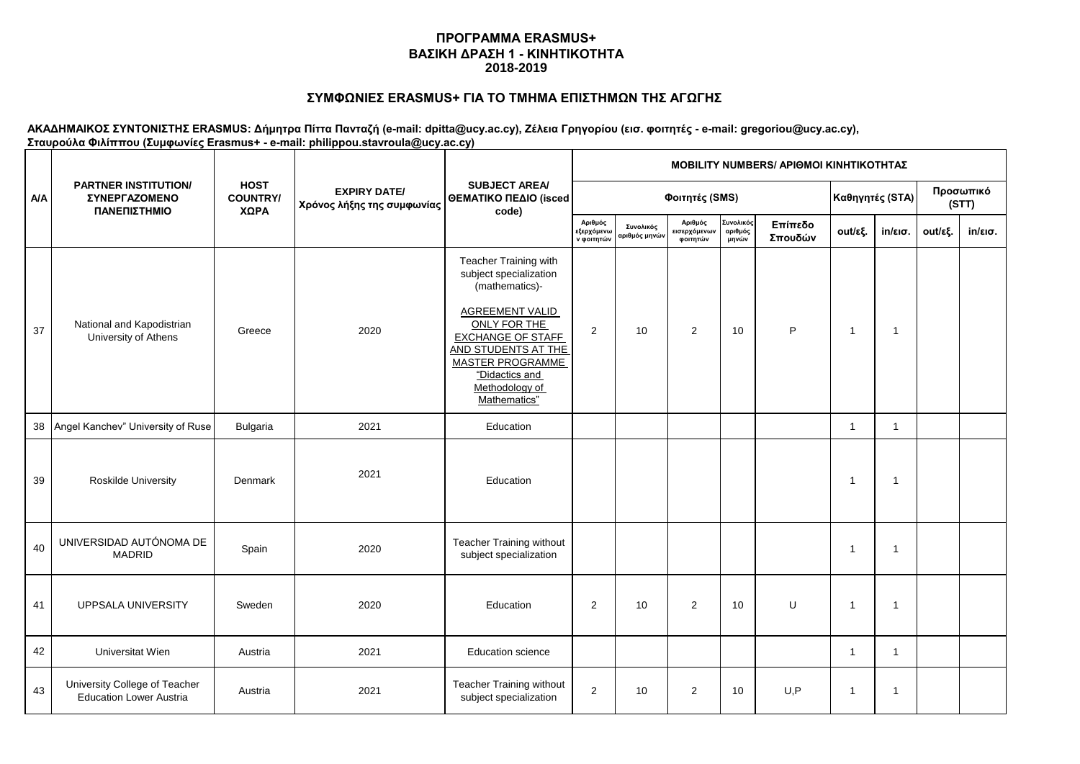# **ΣΥΜΦΩΝΙΕΣ ERASMUS+ ΓΙΑ ΤΟ ΤΜΗΜΑ ΕΠΙΣΤΗΜΩΝ ΤΗΣ ΑΓΩΓΗΣ**

| <b>A/A</b> | <b>PARTNER INSTITUTION/</b><br><b>ΣΥΝΕΡΓΑΖΟΜΕΝΟ</b><br>ΠΑΝΕΠΙΣΤΗΜΙΟ |                                        | <b>EXPIRY DATE/</b><br>Χρόνος λήξης της συμφωνίας | <b>SUBJECT AREA/</b><br>ΘΕΜΑΤΙΚΟ ΠΕΔΙΟ (isced<br>code)                                                                                                                                                                                        | MOBILITY NUMBERS/ ΑΡΙΘΜΟΙ ΚΙΝΗΤΙΚΟΤΗΤΑΣ |                            |                                     |                               |                    |                    |                   |         |                   |  |  |  |
|------------|---------------------------------------------------------------------|----------------------------------------|---------------------------------------------------|-----------------------------------------------------------------------------------------------------------------------------------------------------------------------------------------------------------------------------------------------|-----------------------------------------|----------------------------|-------------------------------------|-------------------------------|--------------------|--------------------|-------------------|---------|-------------------|--|--|--|
|            |                                                                     | <b>HOST</b><br><b>COUNTRY/</b><br>ΧΩΡΑ |                                                   |                                                                                                                                                                                                                                               |                                         | Φοιτητές (SMS)             | Καθηγητές (STA)                     |                               |                    | Προσωπικό<br>(STT) |                   |         |                   |  |  |  |
|            |                                                                     |                                        |                                                   |                                                                                                                                                                                                                                               | Αριθμός<br>εξερχόμενω<br>ν φοιτητών     | Συνολικός<br>αριθμός μηνών | Αριθμός<br>εισερχόμενων<br>φοιτητών | Συνολικός<br>αριθμός<br>μηνών | Επίπεδο<br>Σπουδών | out/εξ.            | $in/\epsilon$ ισ. | out/εξ. | $in/\epsilon$ ισ. |  |  |  |
| 37         | National and Kapodistrian<br>University of Athens                   | Greece                                 | 2020                                              | Teacher Training with<br>subject specialization<br>(mathematics)-<br><b>AGREEMENT VALID</b><br>ONLY FOR THE<br><b>EXCHANGE OF STAFF</b><br>AND STUDENTS AT THE<br><b>MASTER PROGRAMME</b><br>"Didactics and<br>Methodology of<br>Mathematics" | $\overline{2}$                          | 10                         | $\overline{2}$                      | 10                            | P                  | $\overline{1}$     | $\mathbf{1}$      |         |                   |  |  |  |
|            | 38   Angel Kanchev" University of Ruse                              | Bulgaria                               | 2021                                              | Education                                                                                                                                                                                                                                     |                                         |                            |                                     |                               |                    | $\mathbf{1}$       | $\mathbf{1}$      |         |                   |  |  |  |
| 39         | <b>Roskilde University</b>                                          | Denmark                                | 2021                                              | Education                                                                                                                                                                                                                                     |                                         |                            |                                     |                               |                    | 1                  | $\overline{1}$    |         |                   |  |  |  |
| 40         | UNIVERSIDAD AUTÓNOMA DE<br><b>MADRID</b>                            | Spain                                  | 2020                                              | Teacher Training without<br>subject specialization                                                                                                                                                                                            |                                         |                            |                                     |                               |                    | -1                 | $\mathbf{1}$      |         |                   |  |  |  |
| 41         | UPPSALA UNIVERSITY                                                  | Sweden                                 | 2020                                              | Education                                                                                                                                                                                                                                     | $\overline{2}$                          | 10                         | $\overline{2}$                      | 10                            | U                  | 1                  | $\mathbf{1}$      |         |                   |  |  |  |
| 42         | Universitat Wien                                                    | Austria                                | 2021                                              | <b>Education science</b>                                                                                                                                                                                                                      |                                         |                            |                                     |                               |                    | $\mathbf{1}$       | $\mathbf{1}$      |         |                   |  |  |  |
| 43         | University College of Teacher<br><b>Education Lower Austria</b>     | Austria                                | 2021                                              | Teacher Training without<br>subject specialization                                                                                                                                                                                            | $\overline{2}$                          | 10                         | 2                                   | 10                            | U, P               | 1                  | $\mathbf{1}$      |         |                   |  |  |  |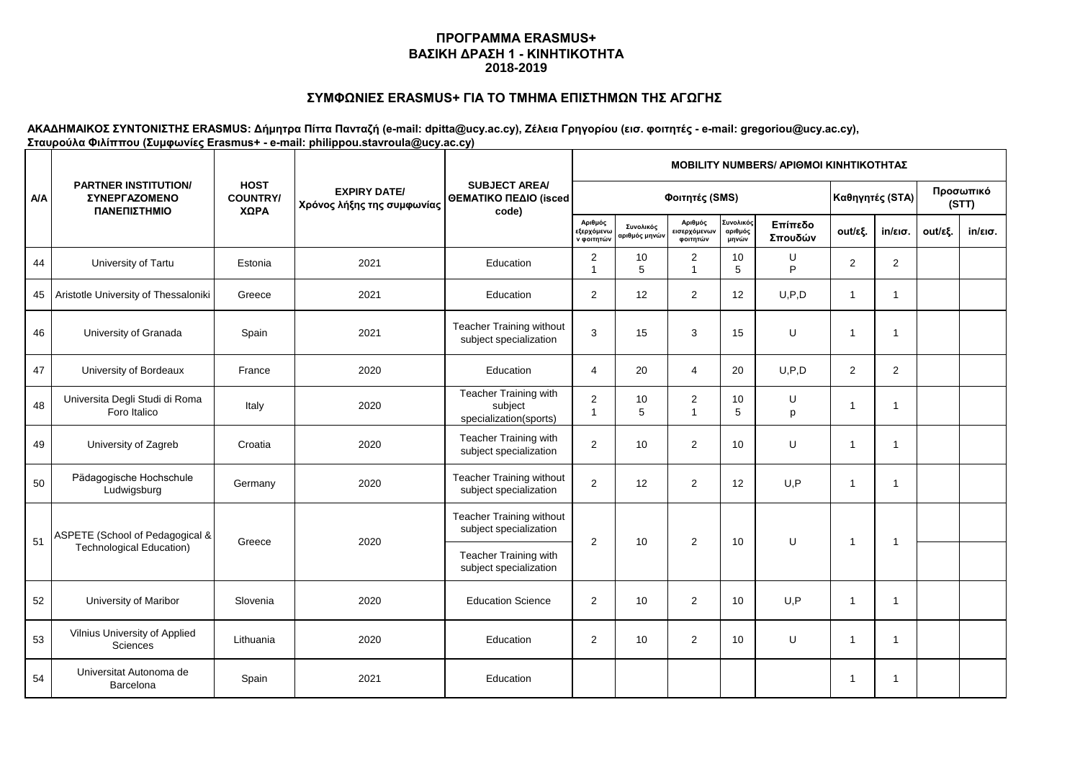# **ΣΥΜΦΩΝΙΕΣ ERASMUS+ ΓΙΑ ΤΟ ΤΜΗΜΑ ΕΠΙΣΤΗΜΩΝ ΤΗΣ ΑΓΩΓΗΣ**

|            | <b>PARTNER INSTITUTION/</b><br><b>ΣΥΝΕΡΓΑΖΟΜΕΝΟ</b><br>ΠΑΝΕΠΙΣΤΗΜΙΟ |                                        |                                                   | <b>SUBJECT AREA/</b><br>ΘΕΜΑΤΙΚΟ ΠΕΔΙΟ (isced<br>code)     | <b>MOBILITY NUMBERS/ APIOMOI KINHTIKOTHTAZ</b> |                            |                                                   |                               |                    |                |                    |         |                   |  |  |  |
|------------|---------------------------------------------------------------------|----------------------------------------|---------------------------------------------------|------------------------------------------------------------|------------------------------------------------|----------------------------|---------------------------------------------------|-------------------------------|--------------------|----------------|--------------------|---------|-------------------|--|--|--|
| <b>A/A</b> |                                                                     | <b>HOST</b><br><b>COUNTRY/</b><br>ΧΩΡΑ | <b>EXPIRY DATE/</b><br>Χρόνος λήξης της συμφωνίας |                                                            |                                                |                            | Φοιτητές (SMS)                                    | Καθηγητές (STA)               |                    |                | Προσωπικό<br>(STT) |         |                   |  |  |  |
|            |                                                                     |                                        |                                                   |                                                            | Αριθμός<br>εξερχόμενω<br>ν φοιτητών            | Συνολικός<br>ιριθμός μηνών | Αριθμός<br>:ισερχόμενω <mark>ν</mark><br>φοιτητών | Συνολικός<br>αριθμός<br>μηνών | Επίπεδο<br>Σπουδών | out/εξ.        | $in/\epsilon$ ισ.  | out/εξ. | $in/\epsilon$ ισ. |  |  |  |
| 44         | University of Tartu                                                 | Estonia                                | 2021                                              | Education                                                  | $\overline{2}$<br>$\overline{1}$               | 10<br>5                    | 2<br>$\overline{\mathbf{1}}$                      | 10<br>5                       | U<br>P             | $\overline{2}$ | $\overline{2}$     |         |                   |  |  |  |
| 45         | Aristotle University of Thessaloniki                                | Greece                                 | 2021                                              | Education                                                  | 2                                              | 12                         | $\overline{2}$                                    | 12                            | U, P, D            | $\mathbf{1}$   | -1                 |         |                   |  |  |  |
| 46         | University of Granada                                               | Spain                                  | 2021                                              | Teacher Training without<br>subject specialization         | 3                                              | 15                         | 3                                                 | 15                            | U                  |                | -1                 |         |                   |  |  |  |
| 47         | University of Bordeaux                                              | France                                 | 2020                                              | Education                                                  | $\overline{4}$                                 | 20                         | $\overline{4}$                                    | 20                            | U, P, D            | $\overline{2}$ | $\overline{2}$     |         |                   |  |  |  |
| 48         | Universita Degli Studi di Roma<br>Foro Italico                      | Italy                                  | 2020                                              | Teacher Training with<br>subject<br>specialization(sports) | 2<br>$\overline{1}$                            | 10<br>5                    | $\overline{2}$<br>$\mathbf{1}$                    | 10<br>5                       | U<br>p             |                | -1                 |         |                   |  |  |  |
| 49         | University of Zagreb                                                | Croatia                                | 2020                                              | Teacher Training with<br>subject specialization            | 2                                              | 10                         | $\overline{2}$                                    | 10                            | U                  |                | 1                  |         |                   |  |  |  |
| 50         | Pädagogische Hochschule<br>Ludwigsburg                              | Germany                                | 2020                                              | Teacher Training without<br>subject specialization         | $\overline{2}$                                 | 12                         | $\overline{2}$                                    | 12                            | U, P               | $\mathbf{1}$   | 1                  |         |                   |  |  |  |
| 51         | ASPETE (School of Pedagogical &                                     | Greece                                 | 2020                                              | <b>Teacher Training without</b><br>subject specialization  | 2                                              | 10                         | 2                                                 | 10                            | U                  | $\mathbf 1$    | -1                 |         |                   |  |  |  |
|            | <b>Technological Education)</b>                                     |                                        |                                                   | Teacher Training with<br>subject specialization            |                                                |                            |                                                   |                               |                    |                |                    |         |                   |  |  |  |
| 52         | University of Maribor                                               | Slovenia                               | 2020                                              | <b>Education Science</b>                                   | $\overline{2}$                                 | 10                         | $\overline{2}$                                    | 10                            | U, P               | 1              | 1                  |         |                   |  |  |  |
| 53         | Vilnius University of Applied<br>Sciences                           | Lithuania                              | 2020                                              | Education                                                  | $\overline{2}$                                 | 10                         | $\overline{2}$                                    | 10                            | U                  | $\overline{1}$ | -1                 |         |                   |  |  |  |
| 54         | Universitat Autonoma de<br>Barcelona                                | Spain                                  | 2021                                              | Education                                                  |                                                |                            |                                                   |                               |                    |                | -1                 |         |                   |  |  |  |